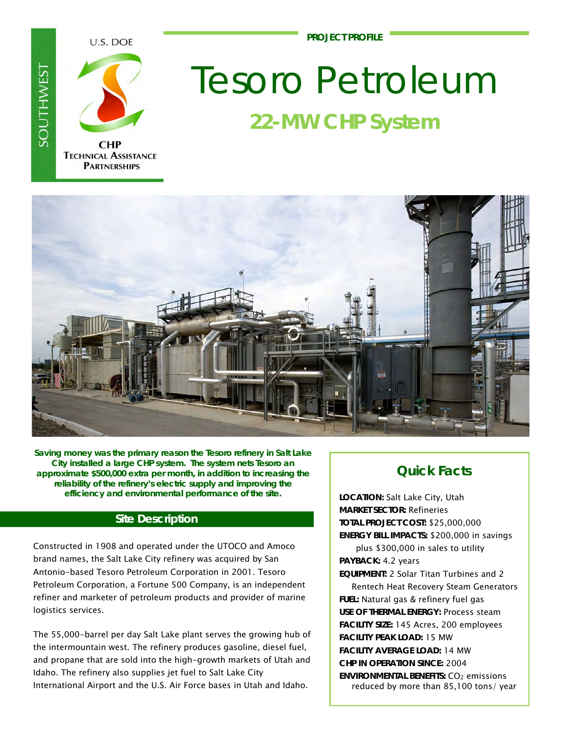**PROJECT PROFILE**

U.S. DOE



**SOUTHWES** 

**CHP TECHNICAL ASSISTANCE PARTNERSHIPS** 

# Tesoro Petroleum **22-MW CHP System**



**Saving money was the primary reason the Tesoro refinery in Salt Lake City installed a large CHP system. The system nets Tesoro an approximate \$500,000 extra per month, in addition to increasing the reliability of the refinery's electric supply and improving the efficiency and environmental performance of the site.** 

# **Site Description**

Constructed in 1908 and operated under the UTOCO and Amoco brand names, the Salt Lake City refinery was acquired by San Antonio-based Tesoro Petroleum Corporation in 2001. Tesoro Petroleum Corporation, a Fortune 500 Company, is an independent refiner and marketer of petroleum products and provider of marine logistics services.

The 55,000-barrel per day Salt Lake plant serves the growing hub of the intermountain west. The refinery produces gasoline, diesel fuel, and propane that are sold into the high-growth markets of Utah and Idaho. The refinery also supplies jet fuel to Salt Lake City International Airport and the U.S. Air Force bases in Utah and Idaho.

# **Quick Facts**

**LOCATION:** Salt Lake City, Utah **MARKET SECTOR:** Refineries **TOTAL PROJECT COST:** \$25,000,000 **ENERGY BILL IMPACTS:** \$200,000 in savings

plus \$300,000 in sales to utility **PAYBACK:** 4.2 years

**EQUIPMENT:** 2 Solar Titan Turbines and 2 Rentech Heat Recovery Steam Generators **FUEL:** Natural gas & refinery fuel gas **USE OF THERMAL ENERGY:** Process steam **FACILITY SIZE:** 145 Acres, 200 employees **FACILITY PEAK LOAD:** 15 MW **FACILITY AVERAGE LOAD:** 14 MW **CHP IN OPERATION SINCE:** 2004 **ENVIRONMENTAL BENEFITS: CO<sub>2</sub> emissions** reduced by more than 85,100 tons/ year